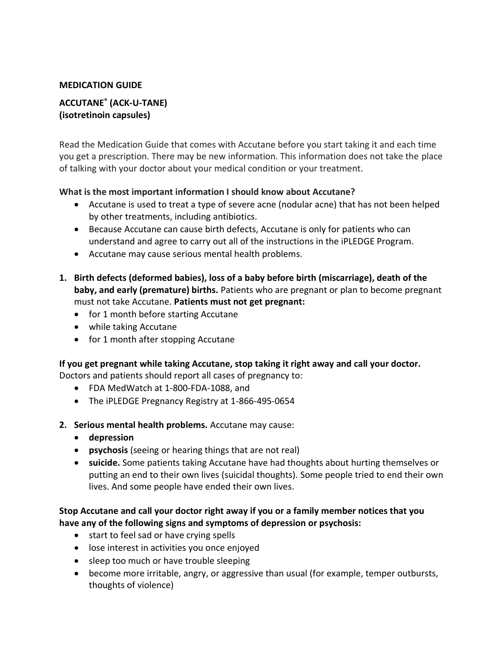#### **MEDICATION GUIDE**

# **ACCUTANE® (ACK-U-TANE) (isotretinoin capsules)**

Read the Medication Guide that comes with Accutane before you start taking it and each time you get a prescription. There may be new information. This information does not take the place of talking with your doctor about your medical condition or your treatment.

#### **What is the most important information I should know about Accutane?**

- Accutane is used to treat a type of severe acne (nodular acne) that has not been helped by other treatments, including antibiotics.
- Because Accutane can cause birth defects, Accutane is only for patients who can understand and agree to carry out all of the instructions in the iPLEDGE Program.
- Accutane may cause serious mental health problems.
- **1. Birth defects (deformed babies), loss of a baby before birth (miscarriage), death of the baby, and early (premature) births.** Patients who are pregnant or plan to become pregnant must not take Accutane. **Patients must not get pregnant:** 
	- for 1 month before starting Accutane
	- while taking Accutane
	- for 1 month after stopping Accutane

## **If you get pregnant while taking Accutane, stop taking it right away and call your doctor.**

Doctors and patients should report all cases of pregnancy to:

- FDA MedWatch at 1-800-FDA-1088, and
- The iPLEDGE Pregnancy Registry at 1-866-495-0654
- **2. Serious mental health problems.** Accutane may cause:
	- **depression**
	- **psychosis** (seeing or hearing things that are not real)
	- **suicide.** Some patients taking Accutane have had thoughts about hurting themselves or putting an end to their own lives (suicidal thoughts). Some people tried to end their own lives. And some people have ended their own lives.

## **Stop Accutane and call your doctor right away if you or a family member notices that you have any of the following signs and symptoms of depression or psychosis:**

- start to feel sad or have crying spells
- lose interest in activities you once enjoyed
- sleep too much or have trouble sleeping
- become more irritable, angry, or aggressive than usual (for example, temper outbursts, thoughts of violence)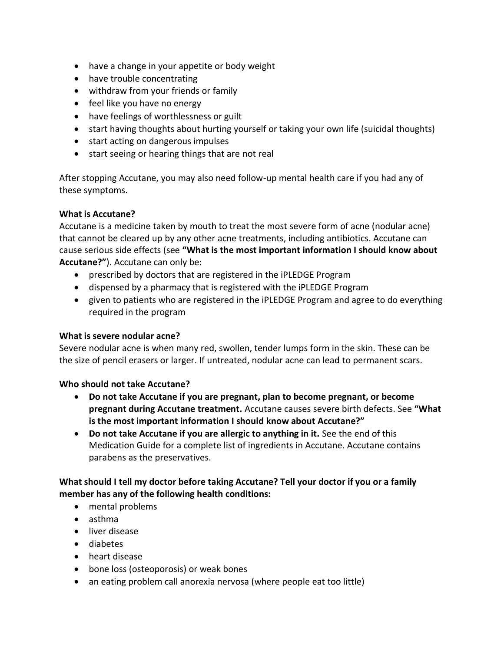- have a change in your appetite or body weight
- have trouble concentrating
- withdraw from your friends or family
- feel like you have no energy
- have feelings of worthlessness or guilt
- start having thoughts about hurting yourself or taking your own life (suicidal thoughts)
- start acting on dangerous impulses
- start seeing or hearing things that are not real

After stopping Accutane, you may also need follow-up mental health care if you had any of these symptoms.

## **What is Accutane?**

Accutane is a medicine taken by mouth to treat the most severe form of acne (nodular acne) that cannot be cleared up by any other acne treatments, including antibiotics. Accutane can cause serious side effects (see **"What is the most important information I should know about Accutane?"**). Accutane can only be:

- prescribed by doctors that are registered in the iPLEDGE Program
- dispensed by a pharmacy that is registered with the iPLEDGE Program
- given to patients who are registered in the iPLEDGE Program and agree to do everything required in the program

#### **What is severe nodular acne?**

Severe nodular acne is when many red, swollen, tender lumps form in the skin. These can be the size of pencil erasers or larger. If untreated, nodular acne can lead to permanent scars.

#### **Who should not take Accutane?**

- **Do not take Accutane if you are pregnant, plan to become pregnant, or become pregnant during Accutane treatment.** Accutane causes severe birth defects. See **"What is the most important information I should know about Accutane?"**
- **Do not take Accutane if you are allergic to anything in it.** See the end of this Medication Guide for a complete list of ingredients in Accutane. Accutane contains parabens as the preservatives.

## **What should I tell my doctor before taking Accutane? Tell your doctor if you or a family member has any of the following health conditions:**

- mental problems
- asthma
- liver disease
- diabetes
- heart disease
- bone loss (osteoporosis) or weak bones
- an eating problem call anorexia nervosa (where people eat too little)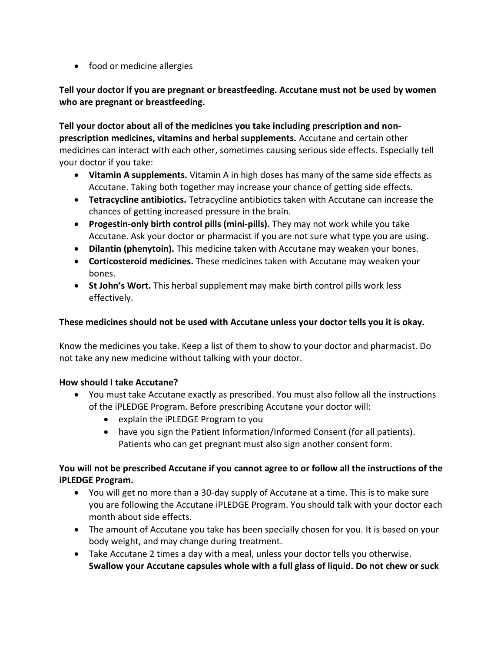• food or medicine allergies

**Tell your doctor if you are pregnant or breastfeeding. Accutane must not be used by women who are pregnant or breastfeeding.** 

**Tell your doctor about all of the medicines you take including prescription and nonprescription medicines, vitamins and herbal supplements.** Accutane and certain other medicines can interact with each other, sometimes causing serious side effects. Especially tell your doctor if you take:

- **Vitamin A supplements.** Vitamin A in high doses has many of the same side effects as Accutane. Taking both together may increase your chance of getting side effects.
- **Tetracycline antibiotics.** Tetracycline antibiotics taken with Accutane can increase the chances of getting increased pressure in the brain.
- **Progestin-only birth control pills (mini-pills).** They may not work while you take Accutane. Ask your doctor or pharmacist if you are not sure what type you are using.
- **Dilantin (phenytoin).** This medicine taken with Accutane may weaken your bones.
- **Corticosteroid medicines.** These medicines taken with Accutane may weaken your bones.
- **St John's Wort.** This herbal supplement may make birth control pills work less effectively.

## **These medicines should not be used with Accutane unless your doctor tells you it is okay.**

Know the medicines you take. Keep a list of them to show to your doctor and pharmacist. Do not take any new medicine without talking with your doctor.

## **How should I take Accutane?**

- You must take Accutane exactly as prescribed. You must also follow all the instructions of the iPLEDGE Program. Before prescribing Accutane your doctor will:
	- explain the iPLEDGE Program to you
	- have you sign the Patient Information/Informed Consent (for all patients). Patients who can get pregnant must also sign another consent form.

## **You will not be prescribed Accutane if you cannot agree to or follow all the instructions of the iPLEDGE Program.**

- You will get no more than a 30-day supply of Accutane at a time. This is to make sure you are following the Accutane iPLEDGE Program. You should talk with your doctor each month about side effects.
- The amount of Accutane you take has been specially chosen for you. It is based on your body weight, and may change during treatment.
- Take Accutane 2 times a day with a meal, unless your doctor tells you otherwise. **Swallow your Accutane capsules whole with a full glass of liquid. Do not chew or suck**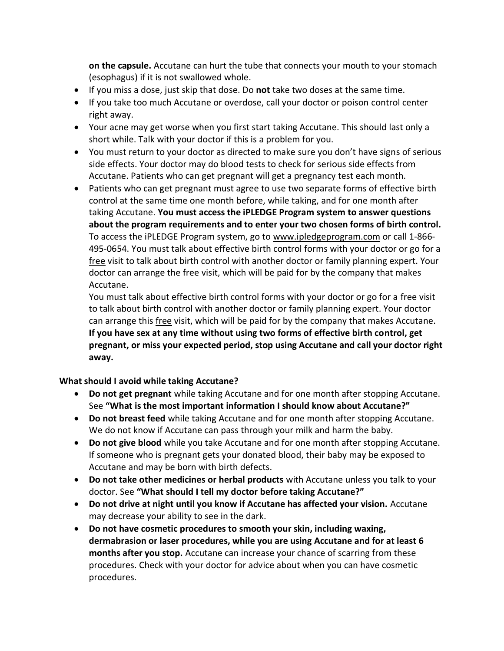**on the capsule.** Accutane can hurt the tube that connects your mouth to your stomach (esophagus) if it is not swallowed whole.

- If you miss a dose, just skip that dose. Do **not** take two doses at the same time.
- If you take too much Accutane or overdose, call your doctor or poison control center right away.
- Your acne may get worse when you first start taking Accutane. This should last only a short while. Talk with your doctor if this is a problem for you.
- You must return to your doctor as directed to make sure you don't have signs of serious side effects. Your doctor may do blood tests to check for serious side effects from Accutane. Patients who can get pregnant will get a pregnancy test each month.
- Patients who can get pregnant must agree to use two separate forms of effective birth control at the same time one month before, while taking, and for one month after taking Accutane. **You must access the iPLEDGE Program system to answer questions about the program requirements and to enter your two chosen forms of birth control.** To access the iPLEDGE Program system, go to [www.ipledgeprogram.com](http://www.ipledgeprogram.com/) or call 1-866- 495-0654. You must talk about effective birth control forms with your doctor or go for a free visit to talk about birth control with another doctor or family planning expert. Your doctor can arrange the free visit, which will be paid for by the company that makes Accutane.

You must talk about effective birth control forms with your doctor or go for a free visit to talk about birth control with another doctor or family planning expert. Your doctor can arrange this free visit, which will be paid for by the company that makes Accutane. **If you have sex at any time without using two forms of effective birth control, get pregnant, or miss your expected period, stop using Accutane and call your doctor right away.** 

## **What should I avoid while taking Accutane?**

- **Do not get pregnant** while taking Accutane and for one month after stopping Accutane. See **"What is the most important information I should know about Accutane?"**
- **Do not breast feed** while taking Accutane and for one month after stopping Accutane. We do not know if Accutane can pass through your milk and harm the baby.
- **Do not give blood** while you take Accutane and for one month after stopping Accutane. If someone who is pregnant gets your donated blood, their baby may be exposed to Accutane and may be born with birth defects.
- **Do not take other medicines or herbal products** with Accutane unless you talk to your doctor. See **"What should I tell my doctor before taking Accutane?"**
- **Do not drive at night until you know if Accutane has affected your vision.** Accutane may decrease your ability to see in the dark.
- **Do not have cosmetic procedures to smooth your skin, including waxing, dermabrasion or laser procedures, while you are using Accutane and for at least 6 months after you stop.** Accutane can increase your chance of scarring from these procedures. Check with your doctor for advice about when you can have cosmetic procedures.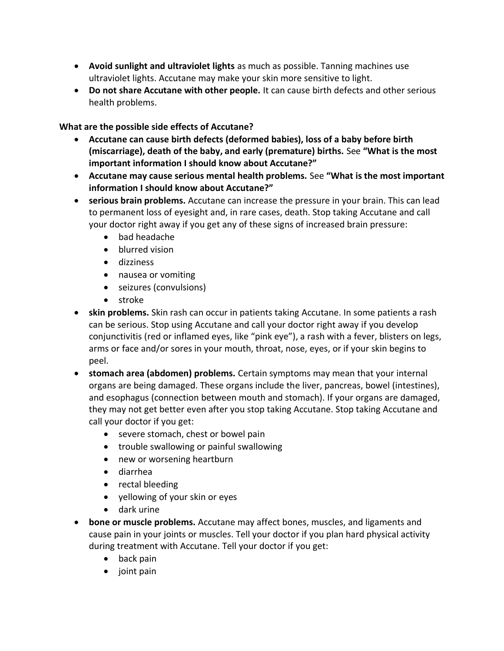- **Avoid sunlight and ultraviolet lights** as much as possible. Tanning machines use ultraviolet lights. Accutane may make your skin more sensitive to light.
- **Do not share Accutane with other people.** It can cause birth defects and other serious health problems.

# **What are the possible side effects of Accutane?**

- **Accutane can cause birth defects (deformed babies), loss of a baby before birth (miscarriage), death of the baby, and early (premature) births.** See **"What is the most important information I should know about Accutane?"**
- **Accutane may cause serious mental health problems.** See **"What is the most important information I should know about Accutane?"**
- **serious brain problems.** Accutane can increase the pressure in your brain. This can lead to permanent loss of eyesight and, in rare cases, death. Stop taking Accutane and call your doctor right away if you get any of these signs of increased brain pressure:
	- bad headache
	- blurred vision
	- dizziness
	- nausea or vomiting
	- seizures (convulsions)
	- stroke
- **skin problems.** Skin rash can occur in patients taking Accutane. In some patients a rash can be serious. Stop using Accutane and call your doctor right away if you develop conjunctivitis (red or inflamed eyes, like "pink eye"), a rash with a fever, blisters on legs, arms or face and/or sores in your mouth, throat, nose, eyes, or if your skin begins to peel.
- **stomach area (abdomen) problems.** Certain symptoms may mean that your internal organs are being damaged. These organs include the liver, pancreas, bowel (intestines), and esophagus (connection between mouth and stomach). If your organs are damaged, they may not get better even after you stop taking Accutane. Stop taking Accutane and call your doctor if you get:
	- severe stomach, chest or bowel pain
	- trouble swallowing or painful swallowing
	- new or worsening heartburn
	- diarrhea
	- rectal bleeding
	- yellowing of your skin or eyes
	- dark urine
- **bone or muscle problems.** Accutane may affect bones, muscles, and ligaments and cause pain in your joints or muscles. Tell your doctor if you plan hard physical activity during treatment with Accutane. Tell your doctor if you get:
	- back pain
	- joint pain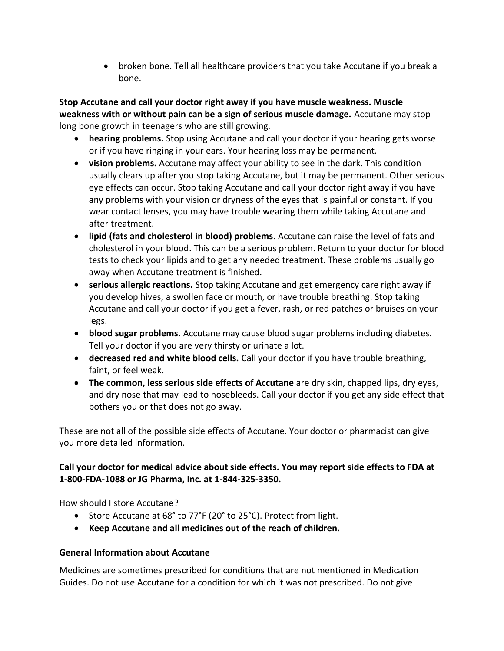• broken bone. Tell all healthcare providers that you take Accutane if you break a bone.

**Stop Accutane and call your doctor right away if you have muscle weakness. Muscle weakness with or without pain can be a sign of serious muscle damage.** Accutane may stop long bone growth in teenagers who are still growing.

- **hearing problems.** Stop using Accutane and call your doctor if your hearing gets worse or if you have ringing in your ears. Your hearing loss may be permanent.
- **vision problems.** Accutane may affect your ability to see in the dark. This condition usually clears up after you stop taking Accutane, but it may be permanent. Other serious eye effects can occur. Stop taking Accutane and call your doctor right away if you have any problems with your vision or dryness of the eyes that is painful or constant. If you wear contact lenses, you may have trouble wearing them while taking Accutane and after treatment.
- **lipid (fats and cholesterol in blood) problems**. Accutane can raise the level of fats and cholesterol in your blood. This can be a serious problem. Return to your doctor for blood tests to check your lipids and to get any needed treatment. These problems usually go away when Accutane treatment is finished.
- **serious allergic reactions.** Stop taking Accutane and get emergency care right away if you develop hives, a swollen face or mouth, or have trouble breathing. Stop taking Accutane and call your doctor if you get a fever, rash, or red patches or bruises on your legs.
- **blood sugar problems.** Accutane may cause blood sugar problems including diabetes. Tell your doctor if you are very thirsty or urinate a lot.
- **decreased red and white blood cells.** Call your doctor if you have trouble breathing, faint, or feel weak.
- **The common, less serious side effects of Accutane** are dry skin, chapped lips, dry eyes, and dry nose that may lead to nosebleeds. Call your doctor if you get any side effect that bothers you or that does not go away.

These are not all of the possible side effects of Accutane. Your doctor or pharmacist can give you more detailed information.

# **Call your doctor for medical advice about side effects. You may report side effects to FDA at 1-800-FDA-1088 or JG Pharma, Inc. at 1-844-325-3350.**

How should I store Accutane?

- Store Accutane at 68° to 77°F (20° to 25°C). Protect from light.
- **Keep Accutane and all medicines out of the reach of children.**

## **General Information about Accutane**

Medicines are sometimes prescribed for conditions that are not mentioned in Medication Guides. Do not use Accutane for a condition for which it was not prescribed. Do not give